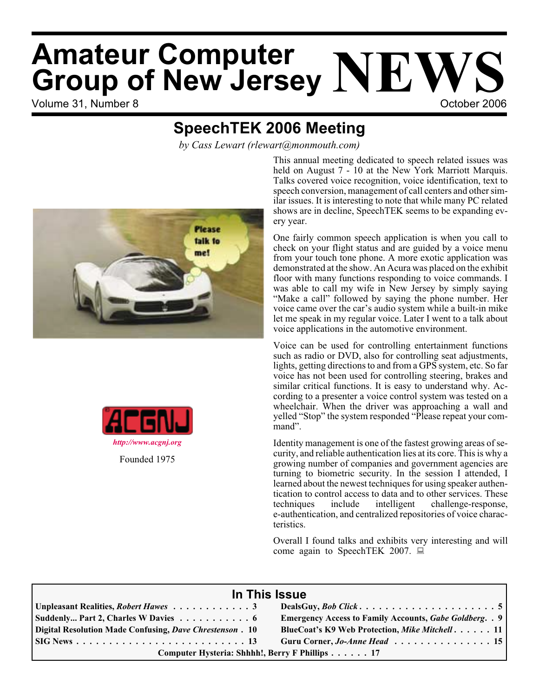# Volume 31, Number 8 **October 2006 Amateur Computer Group of New Jersey NEWS**

# **SpeechTEK 2006 Meeting**

*by Cass Lewart (rlewart@monmouth.com)*





Founded 1975

This annual meeting dedicated to speech related issues was held on August 7 - 10 at the New York Marriott Marquis. Talks covered voice recognition, voice identification, text to speech conversion, management of call centers and other similar issues. It is interesting to note that while many PC related shows are in decline, SpeechTEK seems to be expanding every year.

One fairly common speech application is when you call to check on your flight status and are guided by a voice menu from your touch tone phone. A more exotic application was demonstrated at the show. An Acura was placed on the exhibit floor with many functions responding to voice commands. I was able to call my wife in New Jersey by simply saying "Make a call" followed by saying the phone number. Her voice came over the car's audio system while a built-in mike let me speak in my regular voice. Later I went to a talk about voice applications in the automotive environment.

Voice can be used for controlling entertainment functions such as radio or DVD, also for controlling seat adjustments, lights, getting directions to and from a GPS system, etc. So far voice has not been used for controlling steering, brakes and similar critical functions. It is easy to understand why. According to a presenter a voice control system was tested on a wheelchair. When the driver was approaching a wall and yelled "Stop" the system responded "Please repeat your command".

Identity management is one of the fastest growing areas of security, and reliable authentication lies at its core. This is why a growing number of companies and government agencies are turning to biometric security. In the session I attended, I learned about the newest techniques for using speaker authentication to control access to data and to other services. These techniques include intelligent challenge-response, e-authentication, and centralized repositories of voice characteristics.

Overall I found talks and exhibits very interesting and will come again to SpeechTEK 2007. ■

# **In This Issue**

| Unpleasant Realities, Robert Hawes 3                              |                                                         |  |  |  |
|-------------------------------------------------------------------|---------------------------------------------------------|--|--|--|
| Suddenly Part 2, Charles W Davies $\dots \dots \dots \dots \dots$ | Emergency Access to Family Accounts, Gabe Goldberg. . 9 |  |  |  |
| Digital Resolution Made Confusing, Dave Chrestenson. 10           | BlueCoat's K9 Web Protection, Mike Mitchell 11          |  |  |  |
|                                                                   | Guru Corner, Jo-Anne Head  15                           |  |  |  |
| Computer Hysteria: Shhhh!, Berry F Phillips 17                    |                                                         |  |  |  |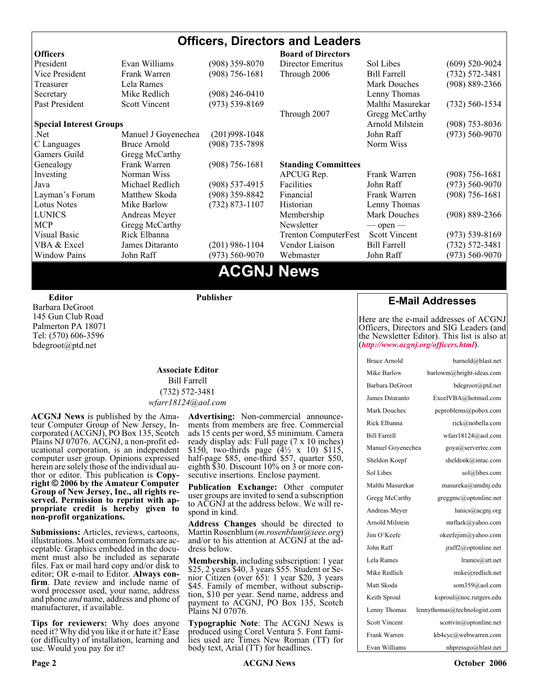#### **Officers, Directors and Leaders Officers Board of Directors**<br> **President** Evan Williams (908) 359-8070 Director Emeritus (908) 359-8070 Director Emeritus Sol Libes (609) 520-9024 Vice President Frank Warren (908) 756-1681 Through 2006 Bill Farrell (732) 572-3481 Treasurer Lela Rames Lela Annes (908) 889-2366 Secretary Mike Redlich (908) 246-0410 Lenny Thomas Past President Scott Vincent (973) 539-8169 Malthi Masurekar (732) 560-1534 Through 2007 Gregg McCarthy **Special Interest Groups Arnold Milstein** (908) 753-8036 Net 1973) Manuel J Goyenechea (201)998-1048<br>C Languages Bruce Arnold (908) 735-7898 100 Norm Wiss C Languages Bruce Arnold (908) 735-7898 Gamers Guild Gregg McCarthy Genealogy Frank Warren (908) 756-1681 **Standing Committees** Investing Norman Wiss APCUG Rep. Frank Warren (908) 756-1681<br>Java Michael Redlich (908) 537-4915 Facilities John Raff (973) 560-9070 Java Michael Redlich (908) 537-4915 Facilities John Raff (973) 560-9070 Layman's Forum Matthew Skoda (908) 359-8842 Financial Frank Warren (908) 756-1681 Lotus Notes Mike Barlow (732) 873-1107 Historian Lenny Thomas LUNICS Andreas Meyer Membership Mark Douches (908) 889-2366 MCP Gregg McCarthy Newsletter — open — Visual Basic Rick Elbanna Trenton ComputerFest Scott Vincent (973) 539-8169 VBA & Excel James Ditaranto (201) 986-1104 Vendor Liaison Bill Farrell (732) 572-3481 Window Pains John Raff (973) 560-9070 Webmaster John Raff (973) 560-9070

# **ACGNJ News**

**Editor**

Barbara DeGroot 145 Gun Club Road Palmerton PA 18071 Tel: (570) 606-3596 bdegroot@ptd.net

#### **Associate Editor** Bill Farrell (732) 572-3481 *wfarr18124@aol.com*

**Publisher**

**ACGNJ News** is published by the Ama- teur Computer Group of New Jersey, In- corporated (ACGNJ), PO Box 135, Scotch Plains NJ 07076. ACGNJ, a non-profit ed-<br>ucational corporation, is an independent computer user group. Opinions expressed<br>herein are solely those of the individual author or editor. This publication is **Copy-**<br>right © 2006 by the Amateur Computer<br>Group of New Jersey, Inc., all rights re-**Group of New Jersey, Inc., all rights re- served. Permission to reprint with ap- propriate credit is hereby given to non-profit organizations.**

**Submissions:** Articles, reviews, cartoons, illustrations. Most common formats are acceptable. Graphics embedded in the docu-<br>ment must also be included as separate files. Fax or mail hard copy and/or disk to editor: OR e-mail to Editor. **Always con**firm. Date review and include name of word processor used, your name, address and phone *and* name, address and phone of manufacturer, if available.

**Tips for reviewers:** Why does anyone need it? Why did you like it or hate it? Ease (or difficulty) of installation, learning and use. Would you pay for it?

**Advertising:** Non-commercial announce- ments from members are free. Commercial ads 15 cents per word, \$5 minimum. Camera ready display ads: Full page (7 x 10 inches) \$150, two-thirds page (4½ x 10) \$115, half-page \$85, one-third \$57, quarter \$50, eighth \$30. Discount 10% on 3 or more con- secutive insertions. Enclose payment.

**Publication Exchange:** Other computer user groups are invited to send a subscription to ACGNJ at the address below. We will re- spond in kind.

**Address Changes** should be directed to Martin Rosenblum (*m.rosenblum@ieee.org*) and/or to his attention at ACGNJ at the ad- dress below.

**Membership**, including subscription: 1 year \$25, 2 years \$40, 3 years \$55. Student or Senior Citizen (over 65): 1 year \$20, 3 years \$45. Family of member, without subscription, \$10 per year. Send name, address and payment to ACGNJ, PO Box 135, Scotch Plains NJ 07076.

**Typographic Note**: The ACGNJ News is produced using Corel Ventura 5. Font fami- lies used are Times New Roman (TT) for body text, Arial (TT) for headlines.

# **E-Mail Addresses**

Here are the e-mail addresses of ACGNJ Officers, Directors and SIG Leaders (and the Newsletter Editor). This list is also at (*<http://www.acgnj.org/officers.html>*).

| <b>Bruce Arnold</b>  | barnold@blast.net            |
|----------------------|------------------------------|
| Mike Barlow          | barlowm@bright-ideas.com     |
| Barbara DeGroot      | bdegroot@ptd.net             |
| James Ditaranto      | ExcelVBA@hotmail.com         |
| <b>Mark Douches</b>  | pcproblems@pobox.com         |
| Rick Elbanna         | rick@nobella.com             |
| <b>Bill Farrell</b>  | wfarr18124@aol.com           |
| Manuel Goyenechea    | goya@servertec.com           |
| Sheldon Koepf        | sheldonk@intac.com           |
| Sol Libes            | sol@libes.com                |
| Malthi Masurekar     | masureka@umdnj.edu           |
| Gregg McCarthy       | greggmc@optonline.net        |
| Andreas Meyer        | lunics@acgnj.org             |
| Arnold Milstein      | mrflark@yahoo.com            |
| Jim O'Keefe          | okeefejim@yahoo.com          |
| John Raff            | jraff2@optonline.net         |
| Lela Rames           | lrames@att.net               |
| Mike Redlich         | mike@redlich.net             |
| Matt Skoda           | som359@aol.com               |
| Keith Sproul         | ksproul@noc.rutgers.edu      |
| Lenny Thomas         | lennythomas@technologist.com |
| <b>Scott Vincent</b> | scottvin@optonline.net       |
| Frank Warren         | kb4cyc@webwarren.com         |
| Evan Williams        | nhpressgo@blast.net          |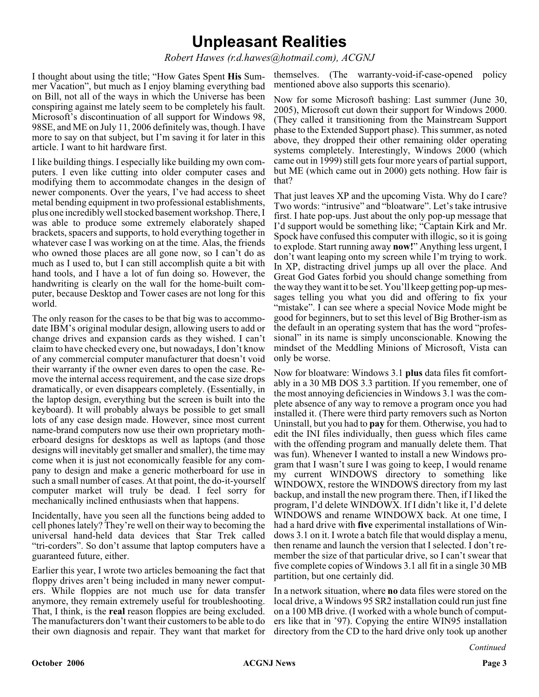# **Unpleasant Realities**

*Robert Hawes (r.d.hawes@hotmail.com), ACGNJ*

I thought about using the title; "How Gates Spent **His** Summer Vacation", but much as I enjoy blaming everything bad on Bill, not all of the ways in which the Universe has been conspiring against me lately seem to be completely his fault. Microsoft's discontinuation of all support for Windows 98, 98SE, and ME on July 11, 2006 definitely was, though. I have more to say on that subject, but I'm saving it for later in this article. I want to hit hardware first.

I like building things. I especially like building my own computers. I even like cutting into older computer cases and modifying them to accommodate changes in the design of newer components. Over the years, I've had access to sheet metal bending equipment in two professional establishments, plus one incredibly well stocked basement workshop. There, I was able to produce some extremely elaborately shaped brackets, spacers and supports, to hold everything together in whatever case I was working on at the time. Alas, the friends who owned those places are all gone now, so I can't do as much as I used to, but I can still accomplish quite a bit with hand tools, and I have a lot of fun doing so. However, the handwriting is clearly on the wall for the home-built computer, because Desktop and Tower cases are not long for this world.

The only reason for the cases to be that big was to accommodate IBM's original modular design, allowing users to add or change drives and expansion cards as they wished. I can't claim to have checked every one, but nowadays, I don't know of any commercial computer manufacturer that doesn't void their warranty if the owner even dares to open the case. Remove the internal access requirement, and the case size drops dramatically, or even disappears completely. (Essentially, in the laptop design, everything but the screen is built into the keyboard). It will probably always be possible to get small lots of any case design made. However, since most current name-brand computers now use their own proprietary motherboard designs for desktops as well as laptops (and those designs will inevitably get smaller and smaller), the time may come when it is just not economically feasible for any company to design and make a generic motherboard for use in such a small number of cases. At that point, the do-it-yourself computer market will truly be dead. I feel sorry for mechanically inclined enthusiasts when that happens.

Incidentally, have you seen all the functions being added to cell phones lately? They're well on their way to becoming the universal hand-held data devices that Star Trek called "tri-corders". So don't assume that laptop computers have a guaranteed future, either.

Earlier this year, I wrote two articles bemoaning the fact that floppy drives aren't being included in many newer computers. While floppies are not much use for data transfer anymore, they remain extremely useful for troubleshooting. That, I think, is the **real** reason floppies are being excluded. The manufacturers don't want their customers to be able to do their own diagnosis and repair. They want that market for

themselves. (The warranty-void-if-case-opened policy mentioned above also supports this scenario).

Now for some Microsoft bashing: Last summer (June 30, 2005), Microsoft cut down their support for Windows 2000. (They called it transitioning from the Mainstream Support phase to the Extended Support phase). This summer, as noted above, they dropped their other remaining older operating systems completely. Interestingly, Windows 2000 (which came out in 1999) still gets four more years of partial support, but ME (which came out in 2000) gets nothing. How fair is that?

That just leaves XP and the upcoming Vista. Why do I care? Two words: "intrusive" and "bloatware". Let's take intrusive first. I hate pop-ups. Just about the only pop-up message that I'd support would be something like; "Captain Kirk and Mr. Spock have confused this computer with illogic, so it is going to explode. Start running away **now!**" Anything less urgent, I don't want leaping onto my screen while I'm trying to work. In XP, distracting drivel jumps up all over the place. And Great God Gates forbid you should change something from the way they want it to be set. You'll keep getting pop-up messages telling you what you did and offering to fix your "mistake". I can see where a special Novice Mode might be good for beginners, but to set this level of Big Brother-ism as the default in an operating system that has the word "professional" in its name is simply unconscionable. Knowing the mindset of the Meddling Minions of Microsoft, Vista can only be worse.

Now for bloatware: Windows 3.1 **plus** data files fit comfortably in a 30 MB DOS 3.3 partition. If you remember, one of the most annoying deficiencies in Windows 3.1 was the complete absence of any way to remove a program once you had installed it. (There were third party removers such as Norton Uninstall, but you had to **pay** for them. Otherwise, you had to edit the INI files individually, then guess which files came with the offending program and manually delete them. That was fun). Whenever I wanted to install a new Windows program that I wasn't sure I was going to keep, I would rename my current WINDOWS directory to something like WINDOWX, restore the WINDOWS directory from my last backup, and install the new program there. Then, if I liked the program, I'd delete WINDOWX. If I didn't like it, I'd delete WINDOWS and rename WINDOWX back. At one time, I had a hard drive with **five** experimental installations of Windows 3.1 on it. I wrote a batch file that would display a menu, then rename and launch the version that I selected. I don't remember the size of that particular drive, so I can't swear that five complete copies of Windows 3.1 all fit in a single 30 MB partition, but one certainly did.

In a network situation, where **no** data files were stored on the local drive, a Windows 95 SR2 installation could run just fine on a 100 MB drive. (I worked with a whole bunch of computers like that in '97). Copying the entire WIN95 installation directory from the CD to the hard drive only took up another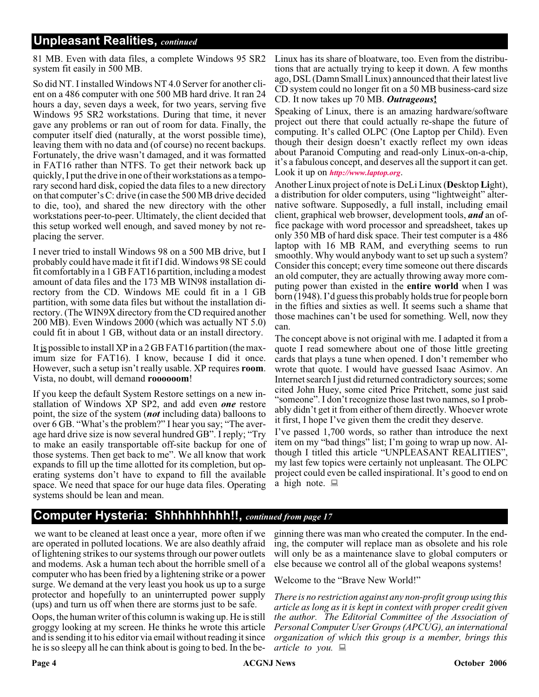# **Unpleasant Realities,** *continued*

81 MB. Even with data files, a complete Windows 95 SR2 system fit easily in 500 MB.

So did NT. I installed Windows NT 4.0 Server for another client on a 486 computer with one 500 MB hard drive. It ran 24 hours a day, seven days a week, for two years, serving five Windows 95 SR2 workstations. During that time, it never gave any problems or ran out of room for data. Finally, the computer itself died (naturally, at the worst possible time), leaving them with no data and (of course) no recent backups. Fortunately, the drive wasn't damaged, and it was formatted in FAT16 rather than NTFS. To get their network back up quickly, I put the drive in one of their workstations as a temporary second hard disk, copied the data files to a new directory on that computer's C: drive (in case the 500 MB drive decided to die, too), and shared the new directory with the other workstations peer-to-peer. Ultimately, the client decided that this setup worked well enough, and saved money by not replacing the server.

I never tried to install Windows 98 on a 500 MB drive, but I probably could have made it fit if I did. Windows 98 SE could fit comfortably in a 1 GB FAT16 partition, including a modest amount of data files and the 173 MB WIN98 installation directory from the CD. Windows ME could fit in a 1 GB partition, with some data files but without the installation directory. (The WIN9X directory from the CD required another 200 MB). Even Windows 2000 (which was actually NT 5.0) could fit in about 1 GB, without data or an install directory.

It is possible to install XP in a 2 GB FAT16 partition (the maximum size for FAT16). I know, because I did it once. However, such a setup isn't really usable. XP requires **room**. Vista, no doubt, will demand **roooooom**!

If you keep the default System Restore settings on a new installation of Windows XP SP2, and add even *one* restore point, the size of the system (*not* including data) balloons to over 6 GB. "What's the problem?" I hear you say; "The average hard drive size is now several hundred GB". I reply; "Try to make an easily transportable off-site backup for one of those systems. Then get back to me". We all know that work expands to fill up the time allotted for its completion, but operating systems don't have to expand to fill the available space. We need that space for our huge data files. Operating systems should be lean and mean.

Linux has its share of bloatware, too. Even from the distributions that are actually trying to keep it down. A few months ago, DSL (Damn Small Linux) announced that their latest live CD system could no longer fit on a 50 MB business-card size CD. It now takes up 70 MB. *Outrageous***!**

Speaking of Linux, there is an amazing hardware/software project out there that could actually re-shape the future of computing. It's called OLPC (One Laptop per Child). Even though their design doesn't exactly reflect my own ideas about Paranoid Computing and read-only Linux-on-a-chip, it's a fabulous concept, and deserves all the support it can get. Look it up on *<http://www.laptop.org>*.

Another Linux project of note is DeLi Linux (**De**sktop**Li**ght), a distribution for older computers, using "lightweight" alternative software. Supposedly, a full install, including email client, graphical web browser, development tools, *and* an office package with word processor and spreadsheet, takes up only 350 MB of hard disk space. Their test computer is a 486 laptop with 16 MB RAM, and everything seems to run smoothly. Why would anybody want to set up such a system? Consider this concept; every time someone out there discards an old computer, they are actually throwing away more computing power than existed in the **entire world** when I was born (1948). I'd guess this probably holds true for people born in the fifties and sixties as well. It seems such a shame that those machines can't be used for something. Well, now they can.

The concept above is not original with me. I adapted it from a quote I read somewhere about one of those little greeting cards that plays a tune when opened. I don't remember who wrote that quote. I would have guessed Isaac Asimov. An Internet search I just did returned contradictory sources; some cited John Huey, some cited Price Pritchett, some just said "someone". I don't recognize those last two names, so I probably didn't get it from either of them directly. Whoever wrote it first, I hope I've given them the credit they deserve.

I've passed 1,700 words, so rather than introduce the next item on my "bad things" list; I'm going to wrap up now. Although I titled this article "UNPLEASANT REALITIES", my last few topics were certainly not unpleasant. The OLPC project could even be called inspirational. It's good to end on a high note.  $\Box$ 

# **Computer Hysteria: Shhhhhhhhh!!,** *continued from page 17*

we want to be cleaned at least once a year, more often if we are operated in polluted locations. We are also deathly afraid of lightening strikes to our systems through our power outlets and modems. Ask a human tech about the horrible smell of a computer who has been fried by a lightening strike or a power surge. We demand at the very least you hook us up to a surge protector and hopefully to an uninterrupted power supply (ups) and turn us off when there are storms just to be safe.

Oops, the human writer of this column is waking up. He is still groggy looking at my screen. He thinks he wrote this article and is sending it to his editor via email without reading it since he is so sleepy all he can think about is going to bed. In the be-

ginning there was man who created the computer. In the ending, the computer will replace man as obsolete and his role will only be as a maintenance slave to global computers or else because we control all of the global weapons systems!

Welcome to the "Brave New World!"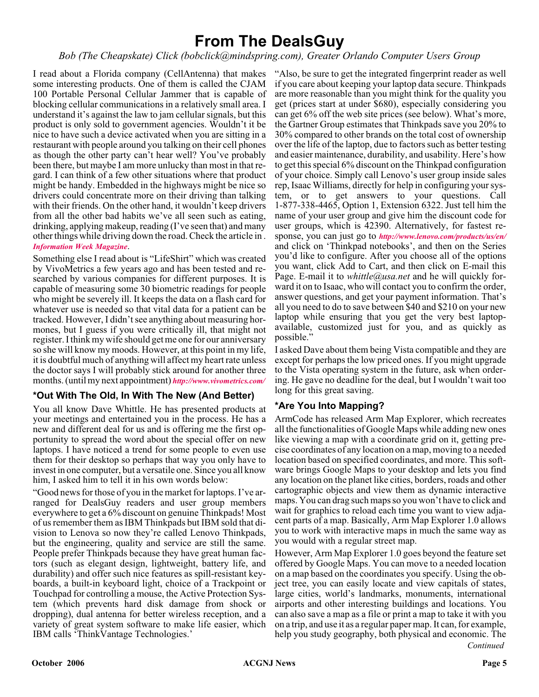# **From The DealsGuy**

*Bob (The Cheapskate) Click (bobclick@mindspring.com), Greater Orlando Computer Users Group*

I read about a Florida company (CellAntenna) that makes some interesting products. One of them is called the CJAM 100 Portable Personal Cellular Jammer that is capable of blocking cellular communications in a relatively small area. I understand it's against the law to jam cellular signals, but this product is only sold to government agencies. Wouldn't it be nice to have such a device activated when you are sitting in a restaurant with people around you talking on their cell phones as though the other party can't hear well? You've probably been there, but maybe I am more unlucky than most in that regard. I can think of a few other situations where that product might be handy. Embedded in the highways might be nice so drivers could concentrate more on their driving than talking with their friends. On the other hand, it wouldn't keep drivers from all the other bad habits we've all seen such as eating, drinking, applying makeup, reading (I've seen that) and many other things while driving down the road. Check the article in . *[Information Week Magazine](http://www.informationweek.com/showArticle.jhtml)*.

Something else I read about is "LifeShirt" which was created by VivoMetrics a few years ago and has been tested and researched by various companies for different purposes. It is capable of measuring some 30 biometric readings for people who might be severely ill. It keeps the data on a flash card for whatever use is needed so that vital data for a patient can be tracked. However, I didn't see anything about measuring hormones, but I guess if you were critically ill, that might not register. I think my wife should get me one for our anniversary so she will know my moods. However, at this point in my life, it is doubtful much of anything will affect my heart rate unless the doctor says I will probably stick around for another three months. (until my next appointment) *<http://www.vivometrics.com/>*

# **\*Out With The Old, In With The New (And Better)**

You all know Dave Whittle. He has presented products at your meetings and entertained you in the process. He has a new and different deal for us and is offering me the first opportunity to spread the word about the special offer on new laptops. I have noticed a trend for some people to even use them for their desktop so perhaps that way you only have to invest in one computer, but a versatile one. Since you all know him, I asked him to tell it in his own words below:

"Good news for those of you in the market for laptops. I've arranged for DealsGuy readers and user group members everywhere to get a 6% discount on genuine Thinkpads! Most of us remember them as IBM Thinkpads but IBM sold that division to Lenova so now they're called Lenovo Thinkpads, but the engineering, quality and service are still the same. People prefer Thinkpads because they have great human factors (such as elegant design, lightweight, battery life, and durability) and offer such nice features as spill-resistant keyboards, a built-in keyboard light, choice of a Trackpoint or Touchpad for controlling a mouse, the Active Protection System (which prevents hard disk damage from shock or dropping), dual antenna for better wireless reception, and a variety of great system software to make life easier, which IBM calls 'ThinkVantage Technologies.'

"Also, be sure to get the integrated fingerprint reader as well if you care about keeping your laptop data secure. Thinkpads are more reasonable than you might think for the quality you get (prices start at under \$680), especially considering you can get 6% off the web site prices (see below). What's more, the Gartner Group estimates that Thinkpads save you 20% to 30% compared to other brands on the total cost of ownership over the life of the laptop, due to factors such as better testing and easier maintenance, durability, and usability. Here's how to get this special 6% discount on the Thinkpad configuration of your choice. Simply call Lenovo's user group inside sales rep, Isaac Williams, directly for help in configuring your system, or to get answers to your questions. Call 1-877-338-4465, Option 1, Extension 6322. Just tell him the name of your user group and give him the discount code for user groups, which is 42390. Alternatively, for fastest response, you can just go to *<http://www.lenovo.com/products/us/en/>* and click on 'Thinkpad notebooks', and then on the Series you'd like to configure. After you choose all of the options you want, click Add to Cart, and then click on E-mail this Page. E-mail it to *whittle@usa.net* and he will quickly forward it on to Isaac, who will contact you to confirm the order, answer questions, and get your payment information. That's all you need to do to save between \$40 and \$210 on your new laptop while ensuring that you get the very best laptopavailable, customized just for you, and as quickly as possible."

I asked Dave about them being Vista compatible and they are except for perhaps the low priced ones. If you might upgrade to the Vista operating system in the future, ask when ordering. He gave no deadline for the deal, but I wouldn't wait too long for this great saving.

# **\*Are You Into Mapping?**

ArmCode has released Arm Map Explorer, which recreates all the functionalities of Google Maps while adding new ones like viewing a map with a coordinate grid on it, getting precise coordinates of any location on a map, moving to a needed location based on specified coordinates, and more. This software brings Google Maps to your desktop and lets you find any location on the planet like cities, borders, roads and other cartographic objects and view them as dynamic interactive maps. You can drag such maps so you won't have to click and wait for graphics to reload each time you want to view adjacent parts of a map. Basically, Arm Map Explorer 1.0 allows you to work with interactive maps in much the same way as you would with a regular street map.

*Continued* However, Arm Map Explorer 1.0 goes beyond the feature set offered by Google Maps. You can move to a needed location on a map based on the coordinates you specify. Using the object tree, you can easily locate and view capitals of states, large cities, world's landmarks, monuments, international airports and other interesting buildings and locations. You can also save a map as a file or print a map to take it with you on a trip, and use it as a regular paper map. It can, for example, help you study geography, both physical and economic. The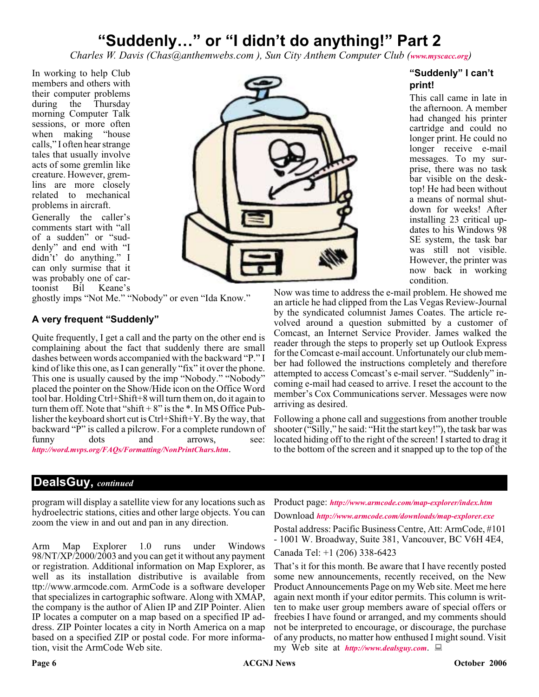# **"Suddenly…" or "I didn't do anything!" Part 2**

*Charles W. Davis (Chas@anthemwebs.com ), Sun City Anthem Computer Club ([www.myscacc.org](http://www.myscacc.org))*

In working to help Club members and others with their computer problems during the Thursday morning Computer Talk sessions, or more often when making "house" calls," I often hear strange tales that usually involve acts of some gremlin like creature. However, gremlins are more closely related to mechanical problems in aircraft.

Generally the caller's comments start with "all of a sudden" or "suddenly" and end with "I didn't' do anything." I can only surmise that it was probably one of cartoonist Bil Keane's

ghostly imps "Not Me." "Nobody" or even "Ida Know."

# **A very frequent "Suddenly"**

Quite frequently, I get a call and the party on the other end is complaining about the fact that suddenly there are small dashes between words accompanied with the backward "P." I kind of like this one, as I can generally "fix" it over the phone. This one is usually caused by the imp "Nobody." "Nobody" placed the pointer on the Show/Hide icon on the Office Word tool bar. Holding Ctrl+Shift+8 will turn them on, do it again to turn them off. Note that "shift  $+ 8$ " is the  $*$ . In MS Office Publisher the keyboard short cut is Ctrl+Shift+Y. By the way, that backward "P" is called a pilcrow. For a complete rundown of funny dots and arrows, see: *<http://word.mvps.org/FAQs/Formatting/NonPrintChars.htm>*.

# **DealsGuy,** *continued*

program will display a satellite view for any locations such as hydroelectric stations, cities and other large objects. You can zoom the view in and out and pan in any direction.

Arm Map Explorer 1.0 runs under Windows 98/NT/XP/2000/2003 and you can get it without any payment or registration. Additional information on Map Explorer, as well as its installation distributive is available from ttp://www.armcode.com. ArmCode is a software developer that specializes in cartographic software. Along with XMAP, the company is the author of Alien IP and ZIP Pointer. Alien IP locates a computer on a map based on a specified IP address. ZIP Pointer locates a city in North America on a map based on a specified ZIP or postal code. For more information, visit the ArmCode Web site.



### **"Suddenly" I can't print!**

This call came in late in the afternoon. A member had changed his printer cartridge and could no longer print. He could no longer receive e-mail messages. To my surprise, there was no task bar visible on the desktop! He had been without a means of normal shutdown for weeks! After installing 23 critical updates to his Windows 98 SE system, the task bar was still not visible. However, the printer was now back in working condition.

Now was time to address the e-mail problem. He showed me an article he had clipped from the Las Vegas Review-Journal by the syndicated columnist James Coates. The article revolved around a question submitted by a customer of Comcast, an Internet Service Provider. James walked the reader through the steps to properly set up Outlook Express for the Comcast e-mail account. Unfortunately our club member had followed the instructions completely and therefore attempted to access Comcast's e-mail server. "Suddenly" incoming e-mail had ceased to arrive. I reset the account to the member's Cox Communications server. Messages were now arriving as desired.

Following a phone call and suggestions from another trouble shooter ("Silly," he said: "Hit the start key!"), the task bar was located hiding off to the right of the screen! I started to drag it to the bottom of the screen and it snapped up to the top of the

Product page: *<http://www.armcode.com/map-explorer/index.htm>* Download *<http://www.armcode.com/downloads/map-explorer.exe>*

Postal address: Pacific Business Centre, Att: ArmCode, #101 - 1001 W. Broadway, Suite 381, Vancouver, BC V6H 4E4,

Canada Tel: +1 (206) 338-6423

That's it for this month. Be aware that I have recently posted some new announcements, recently received, on the New Product Announcements Page on my Web site. Meet me here again next month if your editor permits. This column is written to make user group members aware of special offers or freebies I have found or arranged, and my comments should not be interpreted to encourage, or discourage, the purchase of any products, no matter how enthused I might sound. Visit my Web site at *<http://www.dealsguy.com>*.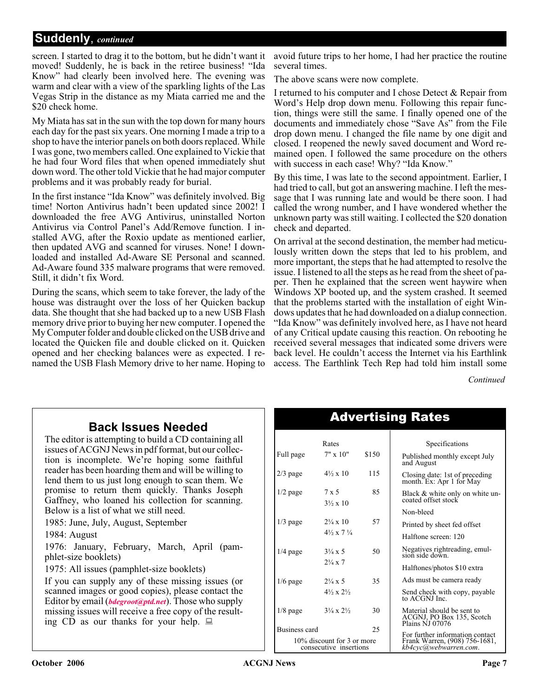# **Suddenly**, *continued*

screen. I started to drag it to the bottom, but he didn't want it moved! Suddenly, he is back in the retiree business! "Ida Know" had clearly been involved here. The evening was warm and clear with a view of the sparkling lights of the Las Vegas Strip in the distance as my Miata carried me and the \$20 check home.

My Miata has sat in the sun with the top down for many hours each day for the past six years. One morning I made a trip to a shop to have the interior panels on both doors replaced. While I was gone, two members called. One explained to Vickie that he had four Word files that when opened immediately shut down word. The other told Vickie that he had major computer problems and it was probably ready for burial.

In the first instance "Ida Know" was definitely involved. Big time! Norton Antivirus hadn't been updated since 2002! I downloaded the free AVG Antivirus, uninstalled Norton Antivirus via Control Panel's Add/Remove function. I installed AVG, after the Roxio update as mentioned earlier, then updated AVG and scanned for viruses. None! I downloaded and installed Ad-Aware SE Personal and scanned. Ad-Aware found 335 malware programs that were removed. Still, it didn't fix Word.

During the scans, which seem to take forever, the lady of the house was distraught over the loss of her Quicken backup data. She thought that she had backed up to a new USB Flash memory drive prior to buying her new computer. I opened the My Computer folder and double clicked on the USB drive and located the Quicken file and double clicked on it. Quicken opened and her checking balances were as expected. I renamed the USB Flash Memory drive to her name. Hoping to

avoid future trips to her home, I had her practice the routine several times.

The above scans were now complete.

I returned to his computer and I chose Detect & Repair from Word's Help drop down menu. Following this repair function, things were still the same. I finally opened one of the documents and immediately chose "Save As" from the File drop down menu. I changed the file name by one digit and closed. I reopened the newly saved document and Word remained open. I followed the same procedure on the others with success in each case! Why? "Ida Know."

By this time, I was late to the second appointment. Earlier, I had tried to call, but got an answering machine. I left the message that I was running late and would be there soon. I had called the wrong number, and I have wondered whether the unknown party was still waiting. I collected the \$20 donation check and departed.

On arrival at the second destination, the member had meticulously written down the steps that led to his problem, and more important, the steps that he had attempted to resolve the issue. I listened to all the steps as he read from the sheet of paper. Then he explained that the screen went haywire when Windows XP booted up, and the system crashed. It seemed that the problems started with the installation of eight Windows updates that he had downloaded on a dialup connection. "Ida Know" was definitely involved here, as I have not heard of any Critical update causing this reaction. On rebooting he received several messages that indicated some drivers were back level. He couldn't access the Internet via his Earthlink access. The Earthlink Tech Rep had told him install some

*Continued*

# **Back Issues Needed**

The editor is attempting to build a CD containing all issues of ACGNJ News in pdf format, but our collection is incomplete. We're hoping some faithful reader has been hoarding them and will be willing to lend them to us just long enough to scan them. We promise to return them quickly. Thanks Joseph Gaffney, who loaned his collection for scanning. Below is a list of what we still need.

1985: June, July, August, September

1984: August

1976: January, February, March, April (pamphlet-size booklets)

1975: All issues (pamphlet-size booklets)

If you can supply any of these missing issues (or scanned images or good copies), please contact the Editor by email (*[bdegroot@ptd.net](mailto:bdegroot@ptd.net)*). Those who supply missing issues will receive a free copy of the resulting CD as our thanks for your help.  $\Box$ 

# Advertising Rates

|               | Rates                                                |       | Specifications                                                             |
|---------------|------------------------------------------------------|-------|----------------------------------------------------------------------------|
| Full page     | $7" \times 10"$                                      | \$150 | Published monthly except July<br>and August                                |
| $2/3$ page    | $4\frac{1}{2} \times 10$                             | 115   | Closing date: 1st of preceding<br>month. Ex: Apr 1 for May                 |
| $1/2$ page    | $7 \times 5$<br>$3\frac{1}{2} \times 10$             | 85    | Black & white only on white un-<br>coated offset stock                     |
|               |                                                      |       | Non-bleed                                                                  |
| $1/3$ page    | $2\frac{1}{4} \times 10$                             | 57    | Printed by sheet fed offset                                                |
|               | $4\frac{1}{2} \times 7\frac{1}{4}$                   |       | Halftone screen: 120                                                       |
| $1/4$ page    | $3\frac{1}{4} \times 5$                              | 50    | Negatives rightreading, emul-<br>sion side down.                           |
|               | $2\frac{1}{4} \times 7$                              |       | Halftones/photos \$10 extra                                                |
| $1/6$ page    | $2\frac{1}{4} \times 5$                              | 35    | Ads must be camera ready                                                   |
|               | $4\frac{1}{2} \times 2\frac{1}{2}$                   |       | Send check with copy, payable<br>to ACGNJ Inc.                             |
| $1/8$ page    | $3\frac{1}{4} \times 2\frac{1}{2}$                   | 30    | Material should be sent to<br>ACGNJ, PO Box 135, Scotch<br>Plains NJ 07076 |
| Business card |                                                      | 25    | For further information contact                                            |
|               | 10% discount for 3 or more<br>consecutive insertions |       | Frank Warren, (908) 756-1681,<br>kb4cyc@webwàrreń.com.                     |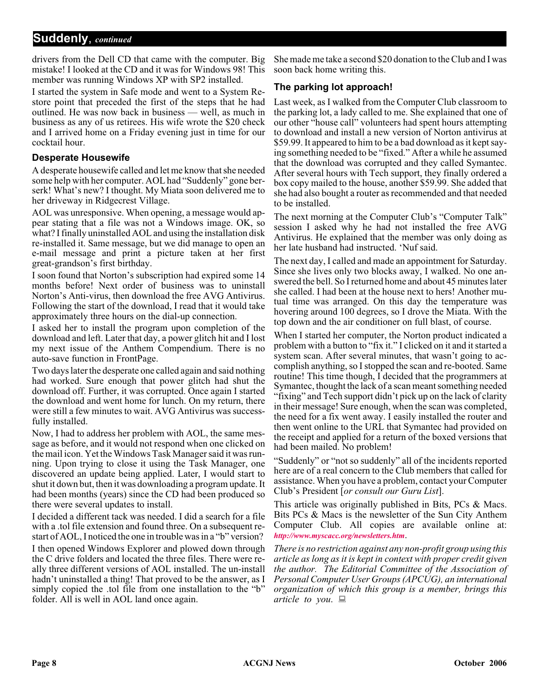# **Suddenly**, *continued*

drivers from the Dell CD that came with the computer. Big mistake! I looked at the CD and it was for Windows 98! This member was running Windows XP with SP2 installed.

I started the system in Safe mode and went to a System Restore point that preceded the first of the steps that he had outlined. He was now back in business — well, as much in business as any of us retirees. His wife wrote the \$20 check and I arrived home on a Friday evening just in time for our cocktail hour.

### **Desperate Housewife**

A desperate housewife called and let me know that she needed some help with her computer. AOL had "Suddenly" gone berserk! What's new? I thought. My Miata soon delivered me to her driveway in Ridgecrest Village.

AOL was unresponsive. When opening, a message would appear stating that a file was not a Windows image. OK, so what? I finally uninstalled AOL and using the installation disk re-installed it. Same message, but we did manage to open an e-mail message and print a picture taken at her first great-grandson's first birthday.

I soon found that Norton's subscription had expired some 14 months before! Next order of business was to uninstall Norton's Anti-virus, then download the free AVG Antivirus. Following the start of the download, I read that it would take approximately three hours on the dial-up connection.

I asked her to install the program upon completion of the download and left. Later that day, a power glitch hit and I lost my next issue of the Anthem Compendium. There is no auto-save function in FrontPage.

Two days later the desperate one called again and said nothing had worked. Sure enough that power glitch had shut the download off. Further, it was corrupted. Once again I started the download and went home for lunch. On my return, there were still a few minutes to wait. AVG Antivirus was successfully installed.

Now, I had to address her problem with AOL, the same message as before, and it would not respond when one clicked on the mail icon. Yet the Windows Task Manager said it was running. Upon trying to close it using the Task Manager, one discovered an update being applied. Later, I would start to shut it down but, then it was downloading a program update. It had been months (years) since the CD had been produced so there were several updates to install.

I decided a different tack was needed. I did a search for a file with a .tol file extension and found three. On a subsequent restart of AOL, I noticed the one in trouble was in a "b" version?

I then opened Windows Explorer and plowed down through the C drive folders and located the three files. There were really three different versions of AOL installed. The un-install hadn't uninstalled a thing! That proved to be the answer, as I simply copied the .tol file from one installation to the "b" folder. All is well in AOL land once again.

She made me take a second \$20 donation to the Club and I was soon back home writing this.

### **The parking lot approach!**

Last week, as I walked from the Computer Club classroom to the parking lot, a lady called to me. She explained that one of our other "house call" volunteers had spent hours attempting to download and install a new version of Norton antivirus at \$59.99. It appeared to him to be a bad download as it kept saying something needed to be "fixed." After a while he assumed that the download was corrupted and they called Symantec. After several hours with Tech support, they finally ordered a box copy mailed to the house, another \$59.99. She added that she had also bought a router as recommended and that needed to be installed.

The next morning at the Computer Club's "Computer Talk" session I asked why he had not installed the free AVG Antivirus. He explained that the member was only doing as her late husband had instructed. 'Nuf said.

The next day, I called and made an appointment for Saturday. Since she lives only two blocks away, I walked. No one answered the bell. So I returned home and about 45 minutes later she called. I had been at the house next to hers! Another mutual time was arranged. On this day the temperature was hovering around 100 degrees, so I drove the Miata. With the top down and the air conditioner on full blast, of course.

When I started her computer, the Norton product indicated a problem with a button to "fix it." I clicked on it and it started a system scan. After several minutes, that wasn't going to accomplish anything, so I stopped the scan and re-booted. Same routine! This time though, I decided that the programmers at Symantec, thought the lack of a scan meant something needed "fixing" and Tech support didn't pick up on the lack of clarity in their message! Sure enough, when the scan was completed, the need for a fix went away. I easily installed the router and then went online to the URL that Symantec had provided on the receipt and applied for a return of the boxed versions that had been mailed. No problem!

"Suddenly" or "not so suddenly" all of the incidents reported here are of a real concern to the Club members that called for assistance. When you have a problem, contact your Computer Club's President [*or consult our Guru List*].

This article was originally published in Bits, PCs & Macs. Bits PCs & Macs is the newsletter of the Sun City Anthem Computer Club. All copies are available online at: *<http://www.myscacc.org/newsletters.htm>*.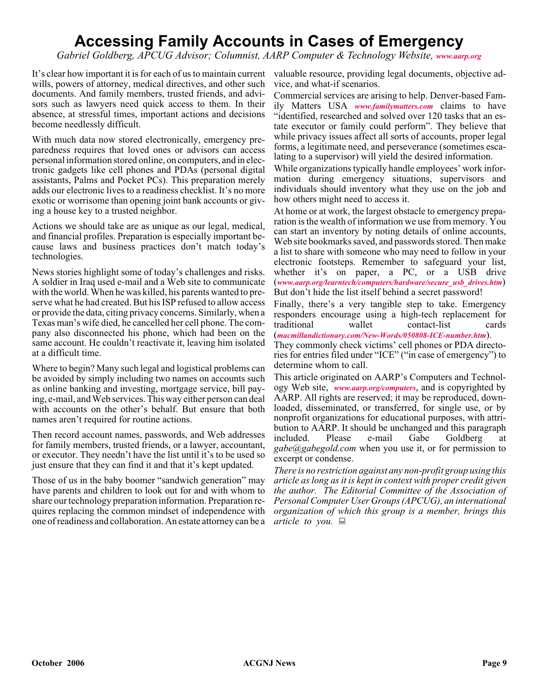# **Accessing Family Accounts in Cases of Emergency**

*Gabriel Goldberg, APCUG Advisor; Columnist, AARP Computer & Technology Website, [www.aarp.org](http://www.aarp.org)*

It's clear how important it is for each of us to maintain current wills, powers of attorney, medical directives, and other such documents. And family members, trusted friends, and advisors such as lawyers need quick access to them. In their absence, at stressful times, important actions and decisions become needlessly difficult.

With much data now stored electronically, emergency preparedness requires that loved ones or advisors can access personal information stored online, on computers, and in electronic gadgets like cell phones and PDAs (personal digital assistants, Palms and Pocket PCs). This preparation merely adds our electronic lives to a readiness checklist. It's no more exotic or worrisome than opening joint bank accounts or giving a house key to a trusted neighbor.

Actions we should take are as unique as our legal, medical, and financial profiles. Preparation is especially important because laws and business practices don't match today's technologies.

News stories highlight some of today's challenges and risks. A soldier in Iraq used e-mail and a Web site to communicate with the world. When he was killed, his parents wanted to preserve what he had created. But his ISP refused to allow access or provide the data, citing privacy concerns. Similarly, when a Texas man's wife died, he cancelled her cell phone. The company also disconnected his phone, which had been on the same account. He couldn't reactivate it, leaving him isolated at a difficult time.

Where to begin? Many such legal and logistical problems can be avoided by simply including two names on accounts such as online banking and investing, mortgage service, bill paying, e-mail, and Web services. This way either person can deal with accounts on the other's behalf. But ensure that both names aren't required for routine actions.

Then record account names, passwords, and Web addresses for family members, trusted friends, or a lawyer, accountant, or executor. They needn't have the list until it's to be used so just ensure that they can find it and that it's kept updated.

Those of us in the baby boomer "sandwich generation" may have parents and children to look out for and with whom to share our technology preparation information. Preparation requires replacing the common mindset of independence with one of readiness and collaboration. An estate attorney can be a

valuable resource, providing legal documents, objective advice, and what-if scenarios.

Commercial services are arising to help. Denver-based Family Matters USA *[www.familymatters.com](http://www.familymatters.com)* claims to have "identified, researched and solved over 120 tasks that an estate executor or family could perform". They believe that while privacy issues affect all sorts of accounts, proper legal forms, a legitimate need, and perseverance (sometimes escalating to a supervisor) will yield the desired information.

While organizations typically handle employees' work information during emergency situations, supervisors and individuals should inventory what they use on the job and how others might need to access it.

At home or at work, the largest obstacle to emergency preparation is the wealth of information we use from memory. You can start an inventory by noting details of online accounts, Web site bookmarks saved, and passwords stored. Then make a list to share with someone who may need to follow in your electronic footsteps. Remember to safeguard your list, whether it's on paper, a PC, or a USB drive (*[www.aarp.org/learntech/computers/hardware/secure\\_usb\\_drives.htm](http://www.aarp.org/learntech/computers/hardware/secure_usb_drives.htm)*) But don't hide the list itself behind a secret password!

Finally, there's a very tangible step to take. Emergency responders encourage using a high-tech replacement for traditional wallet contact-list cards (*[macmillandictionary.com/New-Words/050808-ICE-number.htm](http://www.macmillandictionary.com/New-Words/050808-ICE-number.htm)*).

They commonly check victims' cell phones or PDA directories for entries filed under "ICE" ("in case of emergency") to determine whom to call.

This article originated on AARP's Computers and Technology Web site, *[www.aarp.org/computers](http://www.aarp.org/computers)*, and is copyrighted by AARP. All rights are reserved; it may be reproduced, downloaded, disseminated, or transferred, for single use, or by nonprofit organizations for educational purposes, with attribution to AARP. It should be unchanged and this paragraph included. Please e-mail Gabe Goldberg at *gabe@gabegold.com* when you use it, or for permission to excerpt or condense.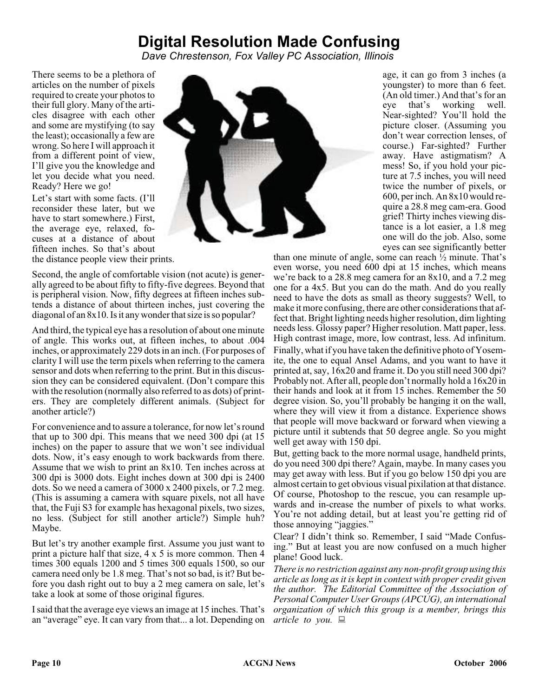# **Digital Resolution Made Confusing**

*Dave Chrestenson, Fox Valley PC Association, Illinois*

There seems to be a plethora of articles on the number of pixels required to create your photos to their full glory. Many of the articles disagree with each other and some are mystifying (to say the least); occasionally a few are wrong. So here I will approach it from a different point of view, I'll give you the knowledge and let you decide what you need. Ready? Here we go!

Let's start with some facts. (I'll reconsider these later, but we have to start somewhere.) First, the average eye, relaxed, focuses at a distance of about fifteen inches. So that's about the distance people view their prints.

Second, the angle of comfortable vision (not acute) is generally agreed to be about fifty to fifty-five degrees. Beyond that is peripheral vision. Now, fifty degrees at fifteen inches subtends a distance of about thirteen inches, just covering the diagonal of an 8x10. Is it any wonder that size is so popular?

And third, the typical eye has a resolution of about one minute of angle. This works out, at fifteen inches, to about .004 inches, or approximately 229 dots in an inch. (For purposes of clarity I will use the term pixels when referring to the camera sensor and dots when referring to the print. But in this discussion they can be considered equivalent. (Don't compare this with the resolution (normally also referred to as dots) of printers. They are completely different animals. (Subject for another article?)

For convenience and to assure a tolerance, for now let's round that up to 300 dpi. This means that we need 300 dpi (at 15 inches) on the paper to assure that we won't see individual dots. Now, it's easy enough to work backwards from there. Assume that we wish to print an 8x10. Ten inches across at 300 dpi is 3000 dots. Eight inches down at 300 dpi is 2400 dots. So we need a camera of 3000 x 2400 pixels, or 7.2 meg. (This is assuming a camera with square pixels, not all have that, the Fuji S3 for example has hexagonal pixels, two sizes, no less. (Subject for still another article?) Simple huh? Maybe.

But let's try another example first. Assume you just want to print a picture half that size, 4 x 5 is more common. Then 4 times 300 equals 1200 and 5 times 300 equals 1500, so our camera need only be 1.8 meg. That's not so bad, is it? But before you dash right out to buy a 2 meg camera on sale, let's take a look at some of those original figures.

I said that the average eye views an image at 15 inches. That's an "average" eye. It can vary from that... a lot. Depending on



age, it can go from 3 inches (a youngster) to more than 6 feet. (An old timer.) And that's for an eye that's working well. Near-sighted? You'll hold the picture closer. (Assuming you don't wear correction lenses, of course.) Far-sighted? Further away. Have astigmatism? A mess! So, if you hold your picture at 7.5 inches, you will need twice the number of pixels, or 600, per inch. An 8x10 would require a 28.8 meg cam-era. Good grief! Thirty inches viewing distance is a lot easier, a 1.8 meg one will do the job. Also, some eyes can see significantly better

than one minute of angle, some can reach  $\frac{1}{2}$  minute. That's even worse, you need 600 dpi at 15 inches, which means we're back to a 28.8 meg camera for an 8x10, and a 7.2 meg one for a 4x5. But you can do the math. And do you really need to have the dots as small as theory suggests? Well, to make it more confusing, there are other considerations that affect that. Bright lighting needs higher resolution, dim lighting needs less. Glossy paper? Higher resolution. Matt paper, less. High contrast image, more, low contrast, less. Ad infinitum. Finally, what if you have taken the definitive photo of Yosemite, the one to equal Ansel Adams, and you want to have it printed at, say, 16x20 and frame it. Do you still need 300 dpi? Probably not. After all, people don't normally hold a 16x20 in their hands and look at it from 15 inches. Remember the 50 degree vision. So, you'll probably be hanging it on the wall, where they will view it from a distance. Experience shows that people will move backward or forward when viewing a picture until it subtends that 50 degree angle. So you might well get away with 150 dpi.

But, getting back to the more normal usage, handheld prints, do you need 300 dpi there? Again, maybe. In many cases you may get away with less. But if you go below 150 dpi you are almost certain to get obvious visual pixilation at that distance. Of course, Photoshop to the rescue, you can resample upwards and in-crease the number of pixels to what works. You're not adding detail, but at least you're getting rid of those annoying "jaggies."

Clear? I didn't think so. Remember, I said "Made Confusing." But at least you are now confused on a much higher plane! Good luck.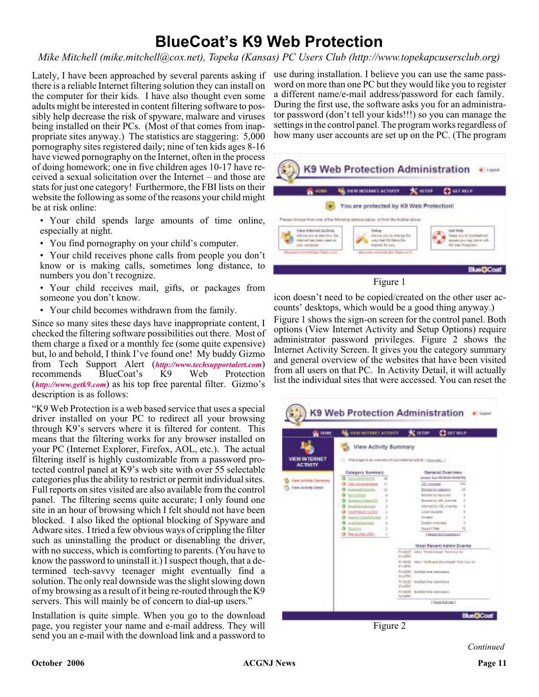# **BlueCoat's K9 Web Protection**

### *Mike Mitchell (mike.mitchell@cox.net), Topeka (Kansas) PC Users Club (http://www.topekapcusersclub.org)*

Lately, I have been approached by several parents asking if there is a reliable Internet filtering solution they can install on the computer for their kids. I have also thought even some adults might be interested in content filtering software to possibly help decrease the risk of spyware, malware and viruses being installed on their PCs. (Most of that comes from inappropriate sites anyway.) The statistics are staggering: 5,000 pornography sites registered daily; nine of ten kids ages 8-16 have viewed pornography on the Internet, often in the process of doing homework; one in five children ages 10-17 have received a sexual solicitation over the Internet – and those are stats for just one category! Furthermore, the FBI lists on their website the following as some of the reasons your child might be at risk online:

- Your child spends large amounts of time online, especially at night.
- You find pornography on your child's computer.

• Your child receives phone calls from people you don't know or is making calls, sometimes long distance, to numbers you don't recognize.

- Your child receives mail, gifts, or packages from someone you don't know.
- Your child becomes withdrawn from the family.

Since so many sites these days have inappropriate content, I checked the filtering software possibilities out there. Most of them charge a fixed or a monthly fee (some quite expensive) but, lo and behold, I think I've found one! My buddy Gizmo from Tech Support Alert (*<http://www.techsupportalert.com>*) recommends BlueCoat's K9 Web Protection (*<http://www.getk9.com>*) as his top free parental filter. Gizmo's description is as follows:

"K9 Web Protection is a web based service that uses a special driver installed on your PC to redirect all your browsing through K9's servers where it is filtered for content. This means that the filtering works for any browser installed on your PC (Internet Explorer, Firefox, AOL, etc.). The actual filtering itself is highly customizable from a password protected control panel at K9's web site with over 55 selectable categories plus the ability to restrict or permit individual sites. Full reports on sites visited are also available from the control panel. The filtering seems quite accurate; I only found one site in an hour of browsing which I felt should not have been blocked. I also liked the optional blocking of Spyware and Adware sites. I tried a few obvious ways of crippling the filter such as uninstalling the product or disenabling the driver, with no success, which is comforting to parents. (You have to know the password to uninstall it.) I suspect though, that a determined tech-savvy teenager might eventually find a solution. The only real downside was the slight slowing down of my browsing as a result of it being re-routed through the K9 servers. This will mainly be of concern to dial-up users."

Installation is quite simple. When you go to the download page, you register your name and e-mail address. They will send you an e-mail with the download link and a password to

use during installation. I believe you can use the same password on more than one PC but they would like you to register a different name/e-mail address/password for each family. During the first use, the software asks you for an administrator password (don't tell your kids!!!) so you can manage the settings in the control panel. The program works regardless of how many user accounts are set up on the PC. (The program



Figure 1

icon doesn't need to be copied/created on the other user accounts' desktops, which would be a good thing anyway.)

Figure 1 shows the sign-on screen for the control panel. Both options (View Internet Activity and Setup Options) require administrator password privileges. Figure 2 shows the Internet Activity Screen. It gives you the category summary and general overview of the websites that have been visited from all users on that PC. In Activity Detail, it will actually list the individual sites that were accessed. You can reset the

| View Activity Summary<br>THIS DAGE 10, AIL CURRICHE OT HALL STRATIST AID/US T. Sure two  T.<br><b>Category Summary</b><br>General DverView<br>(410) 63-2010 FEDERAL<br><b>CALCUMBER</b><br>View Arritorio Tummers<br>166<br><b><i><u><u>A CAS MINT</u></u></i></b><br><b>USL modernity</b><br><b>View Jackinky Dated</b><br><b><i><u>International</u></i></b><br><b>Books to Universe</b><br>u<br>Ħ<br><b>MARTHER</b><br><b>Blocket by executing</b><br>٠<br><b>Insertis Fast</b><br>Blocked by USL commen-<br>Allohopt für SAL angering<br>house<br>Link Howell<br><b>Hattman</b> Dun<br>Inner<br><b>Hotel Roarshofts</b><br>SIMAN SIMITING<br>a military.<br>z<br>Super1 feet<br>ans.<br>O from the diff.<br>Heart Addressed L<br>Most Recent Admin Events<br>Address "Process Gallage" "Ports taken bel-<br>Primach<br>01.40%<br>4004 To Reach Diversional Total late on<br>91.02.23.<br>31.02%)<br>Fri ULIT - Système com resistante<br>31.4796<br>Pri (EE) Antifact ting (Aptonomy<br>11,4331<br>PERSON - INSTRUCTION / ANTICONAL | HORE                                   | <b><i>ATWARTERS LETTERY</i></b> | $C2$ in transition<br><b><i><u>RETURN</u></i></b> |
|-----------------------------------------------------------------------------------------------------------------------------------------------------------------------------------------------------------------------------------------------------------------------------------------------------------------------------------------------------------------------------------------------------------------------------------------------------------------------------------------------------------------------------------------------------------------------------------------------------------------------------------------------------------------------------------------------------------------------------------------------------------------------------------------------------------------------------------------------------------------------------------------------------------------------------------------------------------------------------------------------------------------------------------------|----------------------------------------|---------------------------------|---------------------------------------------------|
|                                                                                                                                                                                                                                                                                                                                                                                                                                                                                                                                                                                                                                                                                                                                                                                                                                                                                                                                                                                                                                         |                                        |                                 |                                                   |
|                                                                                                                                                                                                                                                                                                                                                                                                                                                                                                                                                                                                                                                                                                                                                                                                                                                                                                                                                                                                                                         | <b>VEW INTERNET</b><br><b>ACTIVITY</b> |                                 |                                                   |
|                                                                                                                                                                                                                                                                                                                                                                                                                                                                                                                                                                                                                                                                                                                                                                                                                                                                                                                                                                                                                                         |                                        |                                 |                                                   |
|                                                                                                                                                                                                                                                                                                                                                                                                                                                                                                                                                                                                                                                                                                                                                                                                                                                                                                                                                                                                                                         |                                        |                                 |                                                   |
|                                                                                                                                                                                                                                                                                                                                                                                                                                                                                                                                                                                                                                                                                                                                                                                                                                                                                                                                                                                                                                         |                                        |                                 |                                                   |
|                                                                                                                                                                                                                                                                                                                                                                                                                                                                                                                                                                                                                                                                                                                                                                                                                                                                                                                                                                                                                                         |                                        |                                 |                                                   |
|                                                                                                                                                                                                                                                                                                                                                                                                                                                                                                                                                                                                                                                                                                                                                                                                                                                                                                                                                                                                                                         |                                        |                                 |                                                   |
|                                                                                                                                                                                                                                                                                                                                                                                                                                                                                                                                                                                                                                                                                                                                                                                                                                                                                                                                                                                                                                         |                                        |                                 |                                                   |
|                                                                                                                                                                                                                                                                                                                                                                                                                                                                                                                                                                                                                                                                                                                                                                                                                                                                                                                                                                                                                                         |                                        |                                 |                                                   |
|                                                                                                                                                                                                                                                                                                                                                                                                                                                                                                                                                                                                                                                                                                                                                                                                                                                                                                                                                                                                                                         |                                        |                                 |                                                   |
|                                                                                                                                                                                                                                                                                                                                                                                                                                                                                                                                                                                                                                                                                                                                                                                                                                                                                                                                                                                                                                         |                                        |                                 |                                                   |
|                                                                                                                                                                                                                                                                                                                                                                                                                                                                                                                                                                                                                                                                                                                                                                                                                                                                                                                                                                                                                                         |                                        |                                 |                                                   |
|                                                                                                                                                                                                                                                                                                                                                                                                                                                                                                                                                                                                                                                                                                                                                                                                                                                                                                                                                                                                                                         |                                        |                                 |                                                   |
|                                                                                                                                                                                                                                                                                                                                                                                                                                                                                                                                                                                                                                                                                                                                                                                                                                                                                                                                                                                                                                         |                                        |                                 |                                                   |
|                                                                                                                                                                                                                                                                                                                                                                                                                                                                                                                                                                                                                                                                                                                                                                                                                                                                                                                                                                                                                                         |                                        |                                 |                                                   |
|                                                                                                                                                                                                                                                                                                                                                                                                                                                                                                                                                                                                                                                                                                                                                                                                                                                                                                                                                                                                                                         |                                        |                                 |                                                   |
|                                                                                                                                                                                                                                                                                                                                                                                                                                                                                                                                                                                                                                                                                                                                                                                                                                                                                                                                                                                                                                         |                                        |                                 |                                                   |
|                                                                                                                                                                                                                                                                                                                                                                                                                                                                                                                                                                                                                                                                                                                                                                                                                                                                                                                                                                                                                                         |                                        |                                 |                                                   |
|                                                                                                                                                                                                                                                                                                                                                                                                                                                                                                                                                                                                                                                                                                                                                                                                                                                                                                                                                                                                                                         |                                        |                                 | <b>TESMA</b>                                      |

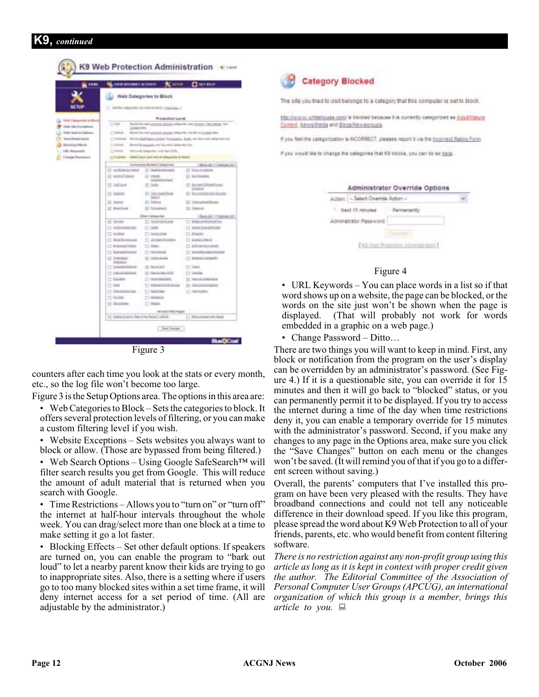| n HH<br>VIEW SKILMALT ACTIVETY                      |                                                                    | Killer Clarker                                                                                      |
|-----------------------------------------------------|--------------------------------------------------------------------|-----------------------------------------------------------------------------------------------------|
|                                                     | Web Categories to Block                                            |                                                                                                     |
| ነር ኪዎ                                               | 11 Bellis tokerns in netreliech topicial. /                        |                                                                                                     |
|                                                     | Prigge chieri Lawer                                                |                                                                                                     |
| <b>Silede Catingarians in Henri-</b><br><b>CIME</b> |                                                                    | Standard from the superior of the property and produce the line of the line of the line of the con- |
| UNA Gita Educations<br><b>STAN Dearth Subara</b>    | LOSSED AREA                                                        |                                                                                                     |
| Citereal<br>Trave Parkins during<br>Cilibered       | Banks in a new successive design networks, but allows (cross) mea- | PAUX (Addition Jacket Testapado Bolli, 417 Stovers (45 print C-B)                                   |
| Model to The In-<br>C-Mine                          | Black& Recordadolo and Stovering companies with                    |                                                                                                     |
| 1.94, Interments<br>COMMIS                          | PRICE ROOM&CRAYING - 104- Ball 2870.                               |                                                                                                     |
| <b>Manuel Parment I</b><br><b>CITATION</b>          | inized your yers again of Linguariers in book.                     |                                                                                                     |
|                                                     | Lemmary British Library and                                        | TRAILER LT (1994) R. M.T.                                                                           |
| 17 HARSAULANE                                       | C. Bublications                                                    | B TRILAININ                                                                                         |
| El vivendidate                                      | <b>Product</b><br><b>MARKOWOOD</b>                                 | 27. Includes:                                                                                       |
| E labined                                           | $\cdots$ 400 limits                                                | El Bacont Elliste Fische                                                                            |
| <b>III lessos</b>                                   | at percenter.<br><b>MATION</b>                                     | All this promotive part factories to                                                                |
| <b>IT beins</b>                                     | 1 EL Trens                                                         | 22 TARONTHAMPACK                                                                                    |
| II Banking                                          | 22 Toront Artist                                                   | 31 Francis                                                                                          |
|                                                     | <b>Direct Calvegroving</b>                                         | 1944 (611) 393-6.511                                                                                |
| 22 modern                                           | <b>C lemmins</b>                                                   | The account of the                                                                                  |
| $[1]$ width a detected of                           | <b>CT_1600</b>                                                     | [] Insuit Engrashergo                                                                               |
| $\Box$ that their                                   | $\Box$ derivatively                                                | $\Box$ Finals .                                                                                     |
| [7] High Denissan                                   | [7] Jul Spiel Afterway                                             | TT SHOWAGEMENT                                                                                      |
| [] Binnestaki                                       | 11.1844                                                            | $[1]$ information means                                                                             |
| [7] Rationalizations                                | $\Box$ Healthild                                                   | 7 Barkfurdearbass                                                                                   |
| IT DATALL<br>Instruct                               | 22 Sierra Davies                                                   | TT Schemers December                                                                                |
| 1.2044444                                           | IF WANT                                                            | <b>EX TANKS</b>                                                                                     |
| TT Falls are placed                                 | 12 November 2021                                                   | TT INNIA                                                                                            |
| $\Box$ thems                                        | $-$ <b>PERCENTAGES</b>                                             | 27 FIRE-DEVELOPMENT                                                                                 |
| $11.100$ .                                          | 17.800AU0.003n                                                     | 21 HARASHARAHA                                                                                      |
| $7.76 - 10.06$                                      | <b>CT HASSING</b>                                                  | [7] FARASHI                                                                                         |
| 11.5046                                             | 13 Arthurid                                                        |                                                                                                     |
| El Saladan.                                         | C HAI                                                              |                                                                                                     |
|                                                     | <b>MONEY</b> FOR                                                   |                                                                                                     |
| 61 State Cyleria Tele (15) Teles                    | $-2000$                                                            | 11 Shipping of the Draw                                                                             |
|                                                     | <b>Just Darget</b>                                                 |                                                                                                     |

Figure 3

counters after each time you look at the stats or every month, etc., so the log file won't become too large.

Figure 3 is the Setup Options area. The options in this area are:

- Web Categories to Block Sets the categories to block. It offers several protection levels of filtering, or you can make a custom filtering level if you wish.
- Website Exceptions Sets websites you always want to block or allow. (Those are bypassed from being filtered.)

• Web Search Options – Using Google SafeSearch™ will filter search results you get from Google. This will reduce the amount of adult material that is returned when you search with Google.

• Time Restrictions – Allows you to "turn on" or "turn off" the internet at half-hour intervals throughout the whole week. You can drag/select more than one block at a time to make setting it go a lot faster.

• Blocking Effects – Set other default options. If speakers are turned on, you can enable the program to "bark out loud" to let a nearby parent know their kids are trying to go to inappropriate sites. Also, there is a setting where if users go to too many blocked sites within a set time frame, it will deny internet access for a set period of time. (All are adjustable by the administrator.)



#### Figure 4

• URL Keywords – You can place words in a list so if that word shows up on a website, the page can be blocked, or the words on the site just won't be shown when the page is displayed. (That will probably not work for words embedded in a graphic on a web page.)

• Change Password – Ditto...

There are two things you will want to keep in mind. First, any block or notification from the program on the user's display can be overridden by an administrator's password. (See Figure 4.) If it is a questionable site, you can override it for 15 minutes and then it will go back to "blocked" status, or you can permanently permit it to be displayed. If you try to access the internet during a time of the day when time restrictions deny it, you can enable a temporary override for 15 minutes with the administrator's password. Second, if you make any changes to any page in the Options area, make sure you click the "Save Changes" button on each menu or the changes won't be saved. (It will remind you of that if you go to a different screen without saving.)

Overall, the parents' computers that I've installed this program on have been very pleased with the results. They have broadband connections and could not tell any noticeable difference in their download speed. If you like this program, please spread the word about K9 Web Protection to all of your friends, parents, etc. who would benefit from content filtering software.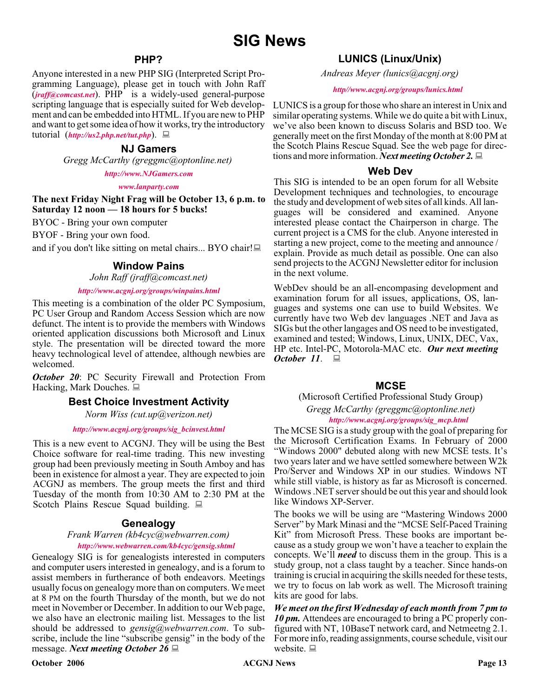# **PHP?**

Anyone interested in a new PHP SIG (Interpreted Script Programming Language), please get in touch with John Raff (*[jraff@comcast.net](mailto:jraff@comcast.net)*). PHP is a widely-used general-purpose scripting language that is especially suited for Web development and can be embedded into HTML. If you are new to PHP and want to get some idea of how it works, try the introductory tutorial (*<http://us2.php.net/tut.php>*).

#### **NJ Gamers**

*Gregg McCarthy (greggmc@optonline.net)*

*<http://www.NJGamers.com>*

*[www.lanparty.com](http://www.lanparty.com)*

**The next Friday Night Frag will be October 13, 6 p.m. to Saturday 12 noon — 18 hours for 5 bucks!**

BYOC - Bring your own computer

BYOF - Bring your own food.

and if you don't like sitting on metal chairs... BYO chair!

### **Window Pains**

*John Raff (jraff@comcast.net)*

#### *<http://www.acgnj.org/groups/winpains.html>*

This meeting is a combination of the older PC Symposium, PC User Group and Random Access Session which are now defunct. The intent is to provide the members with Windows oriented application discussions both Microsoft and Linux style. The presentation will be directed toward the more heavy technological level of attendee, although newbies are welcomed.

*October 20:* PC Security Firewall and Protection From Hacking, Mark Douches.

# **Best Choice Investment Activity**

*Norm Wiss (cut.up@verizon.net)*

#### *[http://www.acgnj.org/groups/sig\\_bcinvest.html](http://www.acgnj.org/groups/sig_bcinvest.html)*

This is a new event to ACGNJ. They will be using the Best Choice software for real-time trading. This new investing group had been previously meeting in South Amboy and has been in existence for almost a year. They are expected to join ACGNJ as members. The group meets the first and third Tuesday of the month from 10:30 AM to 2:30 PM at the Scotch Plains Rescue Squad building.

# **Genealogy**

#### *Frank Warren (kb4cyc@webwarren.com) <http://www.webwarren.com/kb4cyc/gensig.shtml>*

Genealogy SIG is for genealogists interested in computers and computer users interested in genealogy, and is a forum to assist members in furtherance of both endeavors. Meetings usually focus on genealogy more than on computers. We meet at 8 PM on the fourth Thursday of the month, but we do not meet in November or December. In addition to our Web page, we also have an electronic mailing list. Messages to the list should be addressed to *gensig@webwarren.com*. To subscribe, include the line "subscribe gensig" in the body of the message. *Next meeting October 26*

# **LUNICS (Linux/Unix)**

*Andreas Meyer (lunics@acgnj.org)*

#### *<http//www.acgnj.org/groups/lunics.html>*

LUNICS is a group for those who share an interest in Unix and similar operating systems. While we do quite a bit with Linux, we've also been known to discuss Solaris and BSD too. We generally meet on the first Monday of the month at 8:00 PM at the Scotch Plains Rescue Squad. See the web page for directions and more information. *Next meeting October 2.*

#### **Web Dev**

This SIG is intended to be an open forum for all Website Development techniques and technologies, to encourage the study and development of web sites of all kinds. All languages will be considered and examined. Anyone interested please contact the Chairperson in charge. The current project is a CMS for the club. Anyone interested in starting a new project, come to the meeting and announce / explain. Provide as much detail as possible. One can also send projects to the ACGNJ Newsletter editor for inclusion in the next volume.

WebDev should be an all-encompasing development and examination forum for all issues, applications, OS, languages and systems one can use to build Websites. We currently have two Web dev languages .NET and Java as SIGs but the other langages and OS need to be investigated, examined and tested; Windows, Linux, UNIX, DEC, Vax, HP etc. Intel-PC, Motorola-MAC etc. *Our next meeting <i>October* 11. ■

#### **MCSE**

(Microsoft Certified Professional Study Group)

*Gregg McCarthy (greggmc@optonline.net) [http://www.acgnj.org/groups/sig\\_mcp.html](http://www.acgnj.org/groups/sig_mcp.html)*

The MCSE SIG is a study group with the goal of preparing for the Microsoft Certification Exams. In February of 2000 "Windows 2000" debuted along with new MCSE tests. It's two years later and we have settled somewhere between W2k Pro/Server and Windows XP in our studies. Windows NT while still viable, is history as far as Microsoft is concerned. Windows .NET server should be out this year and should look like Windows XP-Server.

The books we will be using are "Mastering Windows 2000 Server" by Mark Minasi and the "MCSE Self-Paced Training Kit" from Microsoft Press. These books are important because as a study group we won't have a teacher to explain the concepts. We'll *need* to discuss them in the group. This is a study group, not a class taught by a teacher. Since hands-on training is crucial in acquiring the skills needed for these tests, we try to focus on lab work as well. The Microsoft training kits are good for labs.

*We meet on the first Wednesday of each month from 7 pm to 10 pm.* Attendees are encouraged to bring a PC properly configured with NT, 10BaseT network card, and Netmeetng 2.1. For more info, reading assignments, course schedule, visit our website.  $\Box$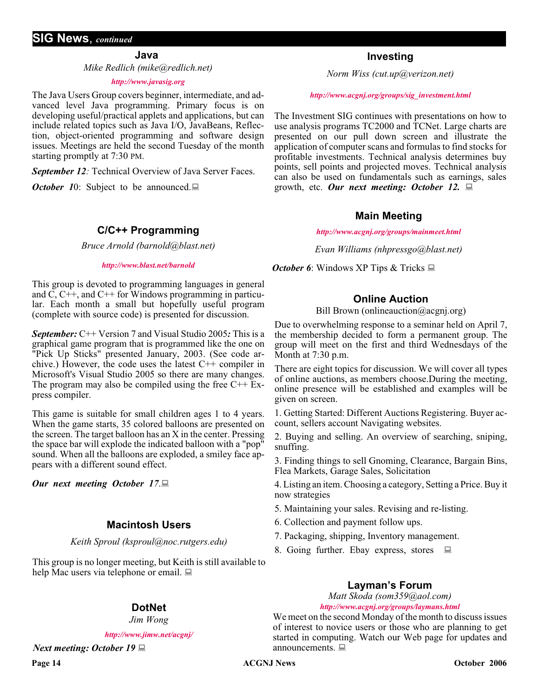### **Java**

*Mike Redlich (mike@redlich.net)*

#### *<http://www.javasig.org>*

The Java Users Group covers beginner, intermediate, and advanced level Java programming. Primary focus is on developing useful/practical applets and applications, but can include related topics such as Java I/O, JavaBeans, Reflection, object-oriented programming and software design issues. Meetings are held the second Tuesday of the month starting promptly at 7:30 PM.

*September 12:* Technical Overview of Java Server Faces.

*October 1*0: Subject to be announced.

### **C/C++ Programming**

*Bruce Arnold (barnold@blast.net)*

#### *<http://www.blast.net/barnold>*

This group is devoted to programming languages in general and C, C++, and C++ for Windows programming in particular. Each month a small but hopefully useful program (complete with source code) is presented for discussion.

*September:* C++ Version 7 and Visual Studio 2005*:* This is a graphical game program that is programmed like the one on "Pick Up Sticks" presented January, 2003. (See code archive.) However, the code uses the latest C++ compiler in Microsoft's Visual Studio 2005 so there are many changes. The program may also be compiled using the free  $C++ E<sub>X</sub>$ press compiler.

This game is suitable for small children ages 1 to 4 years. When the game starts, 35 colored balloons are presented on the screen. The target balloon has an X in the center. Pressing the space bar will explode the indicated balloon with a "pop" sound. When all the balloons are exploded, a smiley face appears with a different sound effect.

*Our next meeting October 17*.

# **Macintosh Users**

*Keith Sproul (ksproul@noc.rutgers.edu)*

This group is no longer meeting, but Keith is still available to help Mac users via telephone or email.

# **DotNet**

*Jim Wong*

*<http://www.jimw.net/acgnj/>*

*Next meeting: October 19*

### **Investing**

*Norm Wiss (cut.up@verizon.net)*

#### *[http://www.acgnj.org/groups/sig\\_investment.html](http://www.acgnj.org/groups/sig_investment.html)*

The Investment SIG continues with presentations on how to use analysis programs TC2000 and TCNet. Large charts are presented on our pull down screen and illustrate the application of computer scans and formulas to find stocks for profitable investments. Technical analysis determines buy points, sell points and projected moves. Technical analysis can also be used on fundamentals such as earnings, sales growth, etc. *Our next meeting: October 12.*

#### **Main Meeting**

*<http://www.acgnj.org/groups/mainmeet.html>*

*Evan Williams (nhpressgo@blast.net)*

*October 6:* Windows XP Tips & Tricks ■

### **Online Auction**

Bill Brown (onlineauction@acgnj.org)

Due to overwhelming response to a seminar held on April 7, the membership decided to form a permanent group. The group will meet on the first and third Wednesdays of the Month at 7:30 p.m.

There are eight topics for discussion. We will cover all types of online auctions, as members choose.During the meeting, online presence will be established and examples will be given on screen.

1. Getting Started: Different Auctions Registering. Buyer account, sellers account Navigating websites.

2. Buying and selling. An overview of searching, sniping, snuffing.

3. Finding things to sell Gnoming, Clearance, Bargain Bins, Flea Markets, Garage Sales, Solicitation

4. Listing an item. Choosing a category, Setting a Price. Buy it now strategies

- 5. Maintaining your sales. Revising and re-listing.
- 6. Collection and payment follow ups.
- 7. Packaging, shipping, Inventory management.
- 8. Going further. Ebay express, stores  $\Box$

# **Layman's Forum**

*Matt Skoda (som359@aol.com) <http://www.acgnj.org/groups/laymans.html>*

We meet on the second Monday of the month to discuss issues of interest to novice users or those who are planning to get started in computing. Watch our Web page for updates and announcements. <sub>■</sub>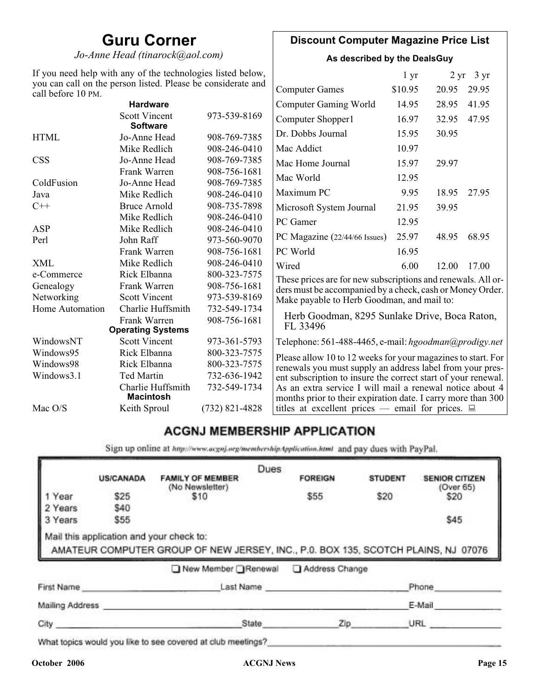# **Guru Corner**

*Jo-Anne Head (tinarock@aol.com)*

# **Discount Computer Magazine Price List**

**As described by the DealsGuy**

| If you need help with any of the technologies listed below,<br>you can call on the person listed. Please be considerate and |                                         |                                                           | $1 \, yr$                                                     |         | $2 \text{ yr}$ 3 yr |       |
|-----------------------------------------------------------------------------------------------------------------------------|-----------------------------------------|-----------------------------------------------------------|---------------------------------------------------------------|---------|---------------------|-------|
| call before 10 PM.                                                                                                          |                                         |                                                           | <b>Computer Games</b>                                         | \$10.95 | 20.95               | 29.95 |
|                                                                                                                             | <b>Hardware</b>                         |                                                           | <b>Computer Gaming World</b>                                  | 14.95   | 28.95               | 41.95 |
|                                                                                                                             | <b>Scott Vincent</b><br><b>Software</b> | 973-539-8169                                              | Computer Shopper1                                             | 16.97   | 32.95               | 47.95 |
| <b>HTML</b>                                                                                                                 | Jo-Anne Head                            | 908-769-7385                                              | Dr. Dobbs Journal                                             | 15.95   | 30.95               |       |
|                                                                                                                             | Mike Redlich                            | 908-246-0410                                              | Mac Addict                                                    | 10.97   |                     |       |
| <b>CSS</b>                                                                                                                  | Jo-Anne Head                            | 908-769-7385                                              | Mac Home Journal                                              | 15.97   | 29.97               |       |
|                                                                                                                             | Frank Warren                            | 908-756-1681                                              |                                                               |         |                     |       |
| ColdFusion                                                                                                                  | Jo-Anne Head                            | 908-769-7385                                              | Mac World                                                     | 12.95   |                     |       |
| Java                                                                                                                        | Mike Redlich                            | 908-246-0410                                              | Maximum PC                                                    | 9.95    | 18.95               | 27.95 |
| $C++$                                                                                                                       | <b>Bruce Arnold</b>                     | 908-735-7898                                              | Microsoft System Journal                                      | 21.95   | 39.95               |       |
|                                                                                                                             | Mike Redlich                            | 908-246-0410                                              | PC Gamer                                                      | 12.95   |                     |       |
| <b>ASP</b>                                                                                                                  | Mike Redlich                            | 908-246-0410                                              |                                                               |         |                     |       |
| Perl                                                                                                                        | John Raff                               | 973-560-9070                                              | PC Magazine (22/44/66 Issues)                                 | 25.97   | 48.95               | 68.95 |
|                                                                                                                             | Frank Warren                            | 908-756-1681                                              | PC World                                                      | 16.95   |                     |       |
| <b>XML</b>                                                                                                                  | Mike Redlich                            | 908-246-0410                                              | Wired                                                         | 6.00    | 12.00               | 17.00 |
| e-Commerce                                                                                                                  | Rick Elbanna                            | 800-323-7575                                              | These prices are for new subscriptions and renewals. All or-  |         |                     |       |
| Genealogy                                                                                                                   | Frank Warren                            | 908-756-1681                                              | ders must be accompanied by a check, cash or Money Order.     |         |                     |       |
| Networking                                                                                                                  | <b>Scott Vincent</b>                    | 973-539-8169                                              | Make payable to Herb Goodman, and mail to:                    |         |                     |       |
| Home Automation                                                                                                             | Charlie Huffsmith                       | 732-549-1734                                              |                                                               |         |                     |       |
| Frank Warren<br>908-756-1681                                                                                                |                                         | Herb Goodman, 8295 Sunlake Drive, Boca Raton,<br>FL 33496 |                                                               |         |                     |       |
|                                                                                                                             | <b>Operating Systems</b>                |                                                           |                                                               |         |                     |       |
| WindowsNT                                                                                                                   | <b>Scott Vincent</b>                    | 973-361-5793                                              | Telephone: 561-488-4465, e-mail: hgoodman@prodigy.net         |         |                     |       |
| Windows95                                                                                                                   | Rick Elbanna                            | 800-323-7575                                              | Please allow 10 to 12 weeks for your magazines to start. For  |         |                     |       |
| Windows98                                                                                                                   | Rick Elbanna                            | 800-323-7575                                              | renewals you must supply an address label from your pres-     |         |                     |       |
| Windows3.1                                                                                                                  | <b>Ted Martin</b>                       | 732-636-1942                                              | ent subscription to insure the correct start of your renewal. |         |                     |       |
|                                                                                                                             | Charlie Huffsmith                       | 732-549-1734                                              | As an extra service I will mail a renewal notice about 4      |         |                     |       |
|                                                                                                                             | <b>Macintosh</b>                        |                                                           | months prior to their expiration date. I carry more than 300  |         |                     |       |
| Mac O/S                                                                                                                     | Keith Sproul                            | $(732)$ 821-4828                                          | titles at excellent prices — email for prices. $\Box$         |         |                     |       |

# **ACGNJ MEMBERSHIP APPLICATION**

Sign up online at http://www.acguj.org/membershipApplication.html and pay dues with PayPal.

|                 |                                          |                                                                                   | Dues      |                |                |                       |
|-----------------|------------------------------------------|-----------------------------------------------------------------------------------|-----------|----------------|----------------|-----------------------|
|                 | <b>US/CANADA</b>                         | <b>FAMILY OF MEMBER</b>                                                           |           | <b>FOREIGN</b> | <b>STUDENT</b> | <b>SENIOR CITIZEN</b> |
| 1 Year          | \$25                                     | (No Newsletter)<br>\$10                                                           |           | \$55           | \$20           | (Over 65)<br>\$20     |
| 2 Years         | \$40                                     |                                                                                   |           |                |                |                       |
| 3 Years         | \$55                                     |                                                                                   |           |                |                | \$45                  |
|                 | Mail this application and your check to: | AMATEUR COMPUTER GROUP OF NEW JERSEY, INC., P.0. BOX 135, SCOTCH PLAINS, NJ 07076 |           |                |                |                       |
|                 |                                          | ■ New Member Renewal                                                              |           | Address Change |                |                       |
| First Name      |                                          |                                                                                   | Last Name |                |                | Phone                 |
| Mailing Address |                                          |                                                                                   |           |                |                | E-Mail                |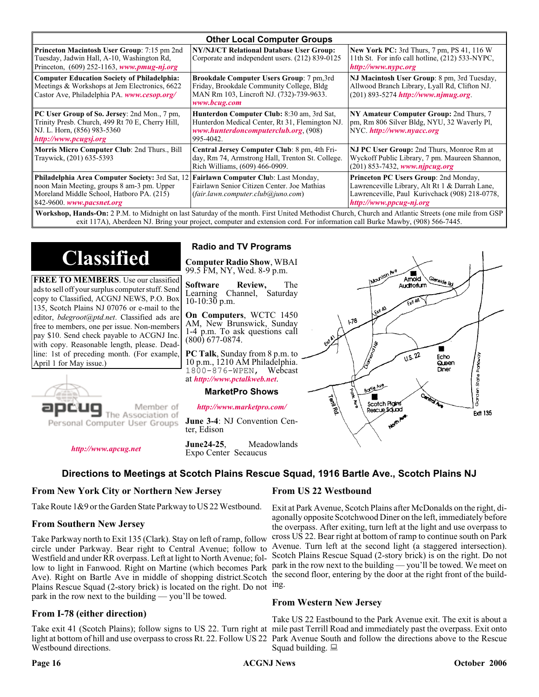| <b>Other Local Computer Groups</b>                                                                                                                        |                                                                                                                                                                                                    |  |  |  |
|-----------------------------------------------------------------------------------------------------------------------------------------------------------|----------------------------------------------------------------------------------------------------------------------------------------------------------------------------------------------------|--|--|--|
| NY/NJ/CT Relational Database User Group:<br>Corporate and independent users. (212) 839-0125                                                               | <b>New York PC:</b> 3rd Thurs, 7 pm, PS 41, 116 W<br>11th St. For info call hotline, (212) 533-NYPC,<br>http://www.nypc.org                                                                        |  |  |  |
| <b>Brookdale Computer Users Group:</b> 7 pm, 3rd<br>Friday, Brookdale Community College, Bldg<br>MAN Rm 103, Lincroft NJ. (732)-739-9633.<br>www.bcug.com | NJ Macintosh User Group: 8 pm, 3rd Tuesday,<br>Allwood Branch Library, Lyall Rd, Clifton NJ.<br>$(201) 893 - 5274$ http://www.njmug.org                                                            |  |  |  |
| Hunterdon Computer Club: 8:30 am, 3rd Sat,<br>Hunterdon Medical Center, Rt 31, Flemington NJ.<br>www.hunterdoncomputerclub.org. (908)<br>995-4042.        | NY Amateur Computer Group: 2nd Thurs, 7<br>pm, Rm 806 Silver Bldg, NYU, 32 Waverly Pl,<br>NYC http://www.nyacc.org                                                                                 |  |  |  |
| Central Jersey Computer Club: 8 pm, 4th Fri-<br>day, Rm 74, Armstrong Hall, Trenton St. College.<br>Rich Williams, (609) 466-0909.                        | NJ PC User Group: 2nd Thurs, Monroe Rm at<br>Wyckoff Public Library, 7 pm. Maureen Shannon,<br>$(201)$ 853-7432, www.nipcug.org                                                                    |  |  |  |
| Fairlawn Computer Club: Last Monday,<br>Fairlawn Senior Citizen Center. Joe Mathias<br>(fair.lawn.computer.club@juno.com)                                 | Princeton PC Users Group: 2nd Monday,<br>Lawrenceville Library, Alt Rt 1 & Darrah Lane,<br>Lawrenceville, Paul Kurivchack (908) 218-0778,<br>http://www.ppcug-nj.org                               |  |  |  |
|                                                                                                                                                           | Philadelphia Area Computer Society: 3rd Sat, 12<br>Workshop Hands-On: 2 PM to Midnight on last Saturday of the month First United Methodist Church Church and Atlantic Streets (one mile from GSP) |  |  |  |

**Workshop, Hands-On:** 2 P.M. to Midnight on last Saturday of the month. First United Methodist Church, Church and Atlantic Streets (one mile from GSP exit 117A), Aberdeen NJ. Bring your project, computer and extension cord. For information call Burke Mawby, (908) 566-7445.

# **Classified**

**FREE TO MEMBERS**. Use our classified ads to sell off your surplus computer stuff. Send copy to Classified, ACGNJ NEWS, P.O. Box 135, Scotch Plains NJ 07076 or e-mail to the editor, *bdegroot@ptd.net*. Classified ads are free to members, one per issue. Non-members pay \$10. Send check payable to ACGNJ Inc. with copy. Reasonable length, please. Deadline: 1st of preceding month. (For example, April 1 for May issue.)



Member of

Personal Computer User Groups

*<http://www.apcug.net>*

### **Radio and TV Programs**

**Computer Radio Show**, WBAI 99.5 FM, NY, Wed. 8-9 p.m.

**Software Review,** The Channel, Saturday  $10-10:30$  p.m.

**On Computers**, WCTC 1450 AM, New Brunswick, Sunday 1-4 p.m. To ask questions call (800) 677-0874.

**PC Talk**, Sunday from 8 p.m. to 10 p.m., 1210 AM Philadelphia. 1800-876-WPEN, Webcast at *<http://www.pctalkweb.net>*.

#### **MarketPro Shows**

*<http://www.marketpro.com/>*

**June 3-4**: NJ Convention Center, Edison

**June24-25**, Meadowlands Expo Center Secaucus

Auditorium  $178$ ш  $\sqrt{1.5.22}$ Echo Garden State Park Queen Diner Borle Ave Territors Scotch Pigins Rescue Sound **Ext1 135** 

Amold

#### **Directions to Meetings at Scotch Plains Rescue Squad, 1916 Bartle Ave., Scotch Plains NJ**

#### **From New York City or Northern New Jersey**

Take Route 1&9 or the Garden State Parkway to US 22 Westbound.

#### **From Southern New Jersey**

Take Parkway north to Exit 135 (Clark). Stay on left of ramp, follow circle under Parkway. Bear right to Central Avenue; follow to Westfield and under RR overpass. Left at light to North Avenue; follow to light in Fanwood. Right on Martine (which becomes Park Ave). Right on Bartle Ave in middle of shopping district.Scotch Plains Rescue Squad (2-story brick) is located on the right. Do not ing. park in the row next to the building — you'll be towed.

#### **From I-78 (either direction)**

Take exit 41 (Scotch Plains); follow signs to US 22. Turn right at mile past Terrill Road and immediately past the overpass. Exit onto light at bottom of hill and use overpass to cross Rt. 22. Follow US 22 Park Avenue South and follow the directions above to the Rescue Westbound directions.

#### **From US 22 Westbound**

Exit at Park Avenue, Scotch Plains after McDonalds on the right, diagonally opposite Scotchwood Diner on the left, immediately before the overpass. After exiting, turn left at the light and use overpass to cross US 22. Bear right at bottom of ramp to continue south on Park Avenue. Turn left at the second light (a staggered intersection). Scotch Plains Rescue Squad (2-story brick) is on the right. Do not park in the row next to the building — you'll be towed. We meet on the second floor, entering by the door at the right front of the build-

#### **From Western New Jersey**

Take US 22 Eastbound to the Park Avenue exit. The exit is about a Squad building.  $\Box$